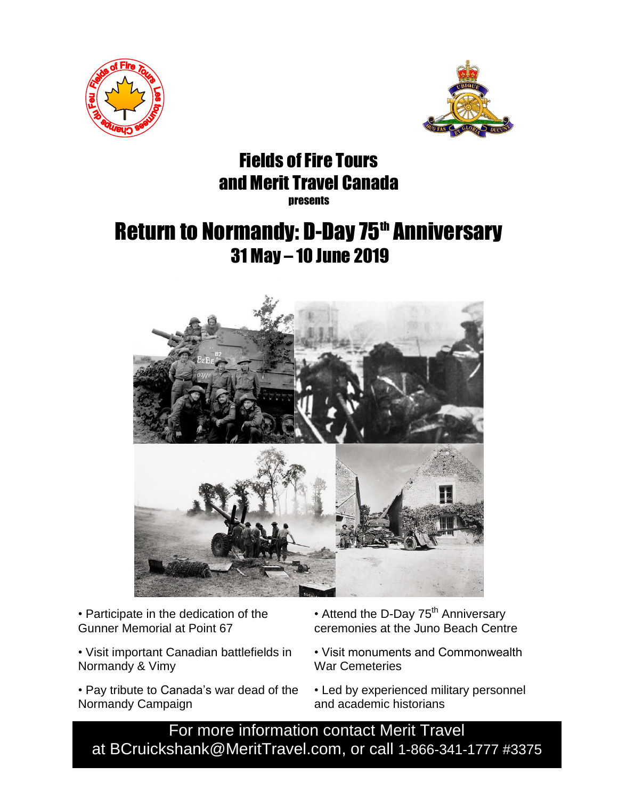



## Fields of Fire Tours and Merit Travel Canada **nresents**

# Return to Normandy: D-Day 75<sup>th</sup> Anniversary 31 May – 10 June 2019



• Participate in the dedication of the Gunner Memorial at Point 67

- Visit important Canadian battlefields in Normandy & Vimy
- Pay tribute to Canada's war dead of the Normandy Campaign
- Attend the D-Day 75<sup>th</sup> Anniversary ceremonies at the Juno Beach Centre
- Visit monuments and Commonwealth Visit monuments and Commonwealth War Cemeteries War Cemeteries
- Led by experienced military personnel and academic historians

For more information contact Merit Travel at BCruickshank@MeritTravel.com, or call 1-866-341-1777 #3375